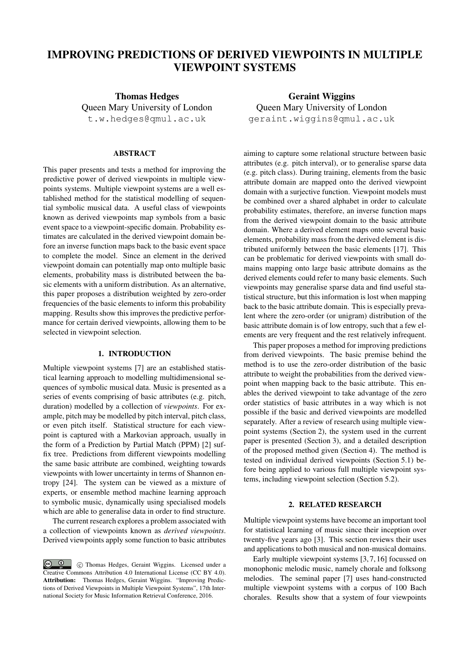# IMPROVING PREDICTIONS OF DERIVED VIEWPOINTS IN MULTIPLE VIEWPOINT SYSTEMS

Thomas Hedges Queen Mary University of London t.w.hedges@qmul.ac.uk

# ABSTRACT

This paper presents and tests a method for improving the predictive power of derived viewpoints in multiple viewpoints systems. Multiple viewpoint systems are a well established method for the statistical modelling of sequential symbolic musical data. A useful class of viewpoints known as derived viewpoints map symbols from a basic event space to a viewpoint-specific domain. Probability estimates are calculated in the derived viewpoint domain before an inverse function maps back to the basic event space to complete the model. Since an element in the derived viewpoint domain can potentially map onto multiple basic elements, probability mass is distributed between the basic elements with a uniform distribution. As an alternative, this paper proposes a distribution weighted by zero-order frequencies of the basic elements to inform this probability mapping. Results show this improves the predictive performance for certain derived viewpoints, allowing them to be selected in viewpoint selection.

### 1. INTRODUCTION

Multiple viewpoint systems [7] are an established statistical learning approach to modelling multidimensional sequences of symbolic musical data. Music is presented as a series of events comprising of basic attributes (e.g. pitch, duration) modelled by a collection of *viewpoints*. For example, pitch may be modelled by pitch interval, pitch class, or even pitch itself. Statistical structure for each viewpoint is captured with a Markovian approach, usually in the form of a Prediction by Partial Match (PPM) [2] suffix tree. Predictions from different viewpoints modelling the same basic attribute are combined, weighting towards viewpoints with lower uncertainty in terms of Shannon entropy [24]. The system can be viewed as a mixture of experts, or ensemble method machine learning approach to symbolic music, dynamically using specialised models which are able to generalise data in order to find structure.

The current research explores a problem associated with a collection of viewpoints known as *derived viewpoints*. Derived viewpoints apply some function to basic attributes

Geraint Wiggins Queen Mary University of London geraint.wiggins@qmul.ac.uk

aiming to capture some relational structure between basic attributes (e.g. pitch interval), or to generalise sparse data (e.g. pitch class). During training, elements from the basic attribute domain are mapped onto the derived viewpoint domain with a surjective function. Viewpoint models must be combined over a shared alphabet in order to calculate probability estimates, therefore, an inverse function maps from the derived viewpoint domain to the basic attribute domain. Where a derived element maps onto several basic elements, probability mass from the derived element is distributed uniformly between the basic elements [17]. This can be problematic for derived viewpoints with small domains mapping onto large basic attribute domains as the derived elements could refer to many basic elements. Such viewpoints may generalise sparse data and find useful statistical structure, but this information is lost when mapping back to the basic attribute domain. This is especially prevalent where the zero-order (or unigram) distribution of the basic attribute domain is of low entropy, such that a few elements are very frequent and the rest relatively infrequent.

This paper proposes a method for improving predictions from derived viewpoints. The basic premise behind the method is to use the zero-order distribution of the basic attribute to weight the probabilities from the derived viewpoint when mapping back to the basic attribute. This enables the derived viewpoint to take advantage of the zero order statistics of basic attributes in a way which is not possible if the basic and derived viewpoints are modelled separately. After a review of research using multiple viewpoint systems (Section 2), the system used in the current paper is presented (Section 3), and a detailed description of the proposed method given (Section 4). The method is tested on individual derived viewpoints (Section 5.1) before being applied to various full multiple viewpoint systems, including viewpoint selection (Section 5.2).

# 2. RELATED RESEARCH

Multiple viewpoint systems have become an important tool for statistical learning of music since their inception over twenty-five years ago [3]. This section reviews their uses and applications to both musical and non-musical domains.

Early multiple viewpoint systems [3, 7, 16] focussed on monophonic melodic music, namely chorale and folksong melodies. The seminal paper [7] uses hand-constructed multiple viewpoint systems with a corpus of 100 Bach chorales. Results show that a system of four viewpoints

 $\circ$   $\circ$ *⃝*c Thomas Hedges, Geraint Wiggins. Licensed under a Creative Commons Attribution 4.0 International License (CC BY 4.0). Attribution: Thomas Hedges, Geraint Wiggins. "Improving Predictions of Derived Viewpoints in Multiple Viewpoint Systems", 17th International Society for Music Information Retrieval Conference, 2016.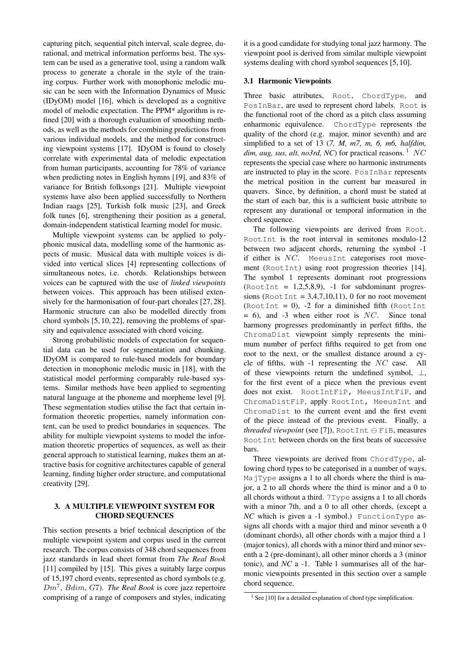capturing pitch, sequential pitch interval, scale degree, durational, and metrical information performs best. The system can be used as a generative tool, using a random walk process to generate a chorale in the style of the training corpus. Further work with monophonic melodic music can be seen with the Information Dynamics of Music (IDyOM) model [16], which is developed as a cognitive model of melodic expectation. The PPM\* algorithm is refined [20] with a thorough evaluation of smoothing methods, as well as the methods for combining predictions from various individual models, and the method for constructing viewpoint systems [17]. IDyOM is found to closely correlate with experimental data of melodic expectation from human participants, accounting for 78% of variance when predicting notes in English hymns [19], and 83% of variance for British folksongs [21]. Multiple viewpoint systems have also been applied successfully to Northern Indian raags [25], Turkish folk music [23], and Greek folk tunes [6], strengthening their position as a general, domain-independent statistical learning model for music.

Multiple viewpoint systems can be applied to polyphonic musical data, modelling some of the harmonic aspects of music. Musical data with multiple voices is divided into vertical slices [4] representing collections of simultaneous notes, i.e. chords. Relationships between voices can be captured with the use of *linked viewpoints* between voices. This approach has been utilised extensively for the harmonisation of four-part chorales [27, 28]. Harmonic structure can also be modelled directly from chord symbols [5, 10, 22], removing the problems of sparsity and equivalence associated with chord voicing.

Strong probabilistic models of expectation for sequential data can be used for segmentation and chunking. IDyOM is compared to rule-based models for boundary detection in monophonic melodic music in [18], with the statistical model performing comparably rule-based systems. Similar methods have been applied to segmenting natural language at the phoneme and morpheme level [9]. These segmentation studies utilise the fact that certain information theoretic properties, namely information content, can be used to predict boundaries in sequences. The ability for multiple viewpoint systems to model the information theoretic properties of sequences, as well as their general approach to statistical learning, makes them an attractive basis for cognitive architectures capable of general learning, finding higher order structure, and computational creativity [29].

# 3. A MULTIPLE VIEWPOINT SYSTEM FOR CHORD SEQUENCES

This section presents a brief technical description of the multiple viewpoint system and corpus used in the current research. The corpus consists of 348 chord sequences from jazz standards in lead sheet format from *The Real Book* [11] compiled by [15]. This gives a suitably large corpus of 15,197 chord events, represented as chord symbols (e.g. *Dm*<sup>7</sup> , *Bdim*, *G*7). *The Real Book* is core jazz repertoire comprising of a range of composers and styles, indicating it is a good candidate for studying tonal jazz harmony. The viewpoint pool is derived from similar multiple viewpoint systems dealing with chord symbol sequences [5, 10].

# 3.1 Harmonic Viewpoints

Three basic attributes, Root, ChordType, and PosInBar, are used to represent chord labels. Root is the functional root of the chord as a pitch class assuming enharmonic equivalence. ChordType represents the quality of the chord (e.g. major, minor seventh) and are simplified to a set of 13 (*7, M, m7, m, 6, m6, halfdim, dim, aug, sus, alt, no3rd, NC*) for practical reasons.<sup>1</sup> *NC* represents the special case where no harmonic instruments are instructed to play in the score. PosInBar represents the metrical position in the current bar measured in quavers. Since, by definition, a chord must be stated at the start of each bar, this is a sufficient basic attribute to represent any durational or temporal information in the chord sequence.

The following viewpoints are derived from Root. RootInt is the root interval in semitones modulo-12 between two adjacent chords, returning the symbol -1 if either is *NC*. MeeusInt categorises root movement (RootInt) using root progression theories [14]. The symbol 1 represents dominant root progressions  $(RootInt = 1,2,5,8,9)$ , -1 for subdominant progressions (RootInt =  $3,4,7,10,11$ ), 0 for no root movement (RootInt = 0), -2 for a diminished fifth (RootInt = 6), and -3 when either root is *NC*. Since tonal harmony progresses predominantly in perfect fifths, the ChromaDist viewpoint simply represents the minimum number of perfect fifths required to get from one root to the next, or the smallest distance around a cycle of fifths, with -1 representing the *NC* case. All of these viewpoints return the undefined symbol, *⊥*, for the first event of a piece when the previous event does not exist. RootIntFiP, MeeusIntFiP, and ChromaDistFiP, apply RootInt, MeeusInt and ChromaDist to the current event and the first event of the piece instead of the previous event. Finally, a *threaded viewpoint* (see [7]), RootInt *⊖* FiB, measures Root Int, between chords on the first beats of successive bars.

Three viewpoints are derived from ChordType, allowing chord types to be categorised in a number of ways.  $Ma$   $\gamma$   $\gamma$  pe assigns a 1 to all chords where the third is major, a 2 to all chords where the third is minor and a 0 to all chords without a third. 7Type assigns a 1 to all chords with a minor 7th, and a 0 to all other chords, (except a *NC* which is given a -1 symbol.) FunctionType assigns all chords with a major third and minor seventh a 0 (dominant chords), all other chords with a major third a 1 (major tonics), all chords with a minor third and minor seventh a 2 (pre-dominant), all other minor chords a 3 (minor tonic), and *NC* a -1. Table 1 summarises all of the harmonic viewpoints presented in this section over a sample chord sequence.

 $1$  See [10] for a detailed explanation of chord type simplification.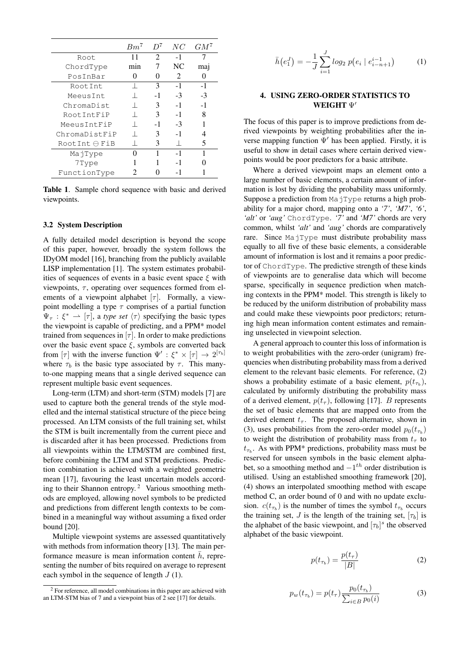|                        | $Bm^{\gamma}$ |      | NC            | $GM^7$ |
|------------------------|---------------|------|---------------|--------|
| Root                   |               | 2    | $-1$          |        |
| ChordType              | mın           |      | NC.           | ma     |
| PosInBar               |               |      | $\mathcal{L}$ |        |
| Root.Int.              |               | 3    | $-1$          | $-1$   |
| MeeusInt               |               | $-1$ | $-3$          | $-3$   |
| ChromaDist             |               | 3    | $-1$          | $-1$   |
| RootIntFiP             |               | 3    | -1            | 8      |
| MeeusIntFiP            |               | -1   | $-3$          |        |
| ChromaDistFiP          |               | 3    | $-1$          |        |
| $RootInt \ominus FilB$ |               | 3    |               | 5      |
| MajType                |               |      | $-1$          |        |
| 7Type                  |               |      | -1            |        |
| FunctionType           |               |      |               |        |

Table 1. Sample chord sequence with basic and derived viewpoints.

### 3.2 System Description

A fully detailed model description is beyond the scope of this paper, however, broadly the system follows the IDyOM model [16], branching from the publicly available LISP implementation [1]. The system estimates probabilities of sequences of events in a basic event space *ξ* with viewpoints, *τ*, operating over sequences formed from elements of a viewpoint alphabet  $[\tau]$ . Formally, a viewpoint modelling a type  $\tau$  comprises of a partial function  $\Psi_{\tau}$  :  $\xi^*$   $\rightarrow$  [ $\tau$ ], a *type set*  $\langle \tau \rangle$  specifying the basic types the viewpoint is capable of predicting, and a PPM\* model trained from sequences in  $[\tau]$ . In order to make predictions over the basic event space *ξ*, symbols are converted back from  $[\tau]$  with the inverse function  $\Psi' : \xi^* \times [\tau] \to 2^{[\tau_b]}$ where  $\tau_b$  is the basic type associated by  $\tau$ . This manyto-one mapping means that a single derived sequence can represent multiple basic event sequences.

Long-term (LTM) and short-term (STM) models [7] are used to capture both the general trends of the style modelled and the internal statistical structure of the piece being processed. An LTM consists of the full training set, whilst the STM is built incrementally from the current piece and is discarded after it has been processed. Predictions from all viewpoints within the LTM/STM are combined first, before combining the LTM and STM predictions. Prediction combination is achieved with a weighted geometric mean [17], favouring the least uncertain models according to their Shannon entropy. <sup>2</sup> Various smoothing methods are employed, allowing novel symbols to be predicted and predictions from different length contexts to be combined in a meaningful way without assuming a fixed order bound [20].

Multiple viewpoint systems are assessed quantitatively with methods from information theory [13]. The main performance measure is mean information content  $\bar{h}$ , representing the number of bits required on average to represent each symbol in the sequence of length *J* (1).

$$
\bar{h}(e_1^J) = -\frac{1}{J} \sum_{i=1}^J \log_2 p(e_i \mid e_{i-n+1}^{i-1}) \tag{1}
$$

# 4. USING ZERO-ORDER STATISTICS TO WEIGHT Ψ*′*

The focus of this paper is to improve predictions from derived viewpoints by weighting probabilities after the inverse mapping function Ψ*′* has been applied. Firstly, it is useful to show in detail cases where certain derived viewpoints would be poor predictors for a basic attribute.

Where a derived viewpoint maps an element onto a large number of basic elements, a certain amount of information is lost by dividing the probability mass uniformly. Suppose a prediction from MajType returns a high probability for a major chord, mapping onto a *'7'*, *'M7'*, *'6'*, *'alt'* or *'aug'* ChordType. *'7'* and *'M7'* chords are very common, whilst *'alt'* and *'aug'* chords are comparatively rare. Since MajType must distribute probability mass equally to all five of these basic elements, a considerable amount of information is lost and it remains a poor predictor of ChordType. The predictive strength of these kinds of viewpoints are to generalise data which will become sparse, specifically in sequence prediction when matching contexts in the PPM\* model. This strength is likely to be reduced by the uniform distribution of probability mass and could make these viewpoints poor predictors; returning high mean information content estimates and remaining unselected in viewpoint selection.

A general approach to counter this loss of information is to weight probabilities with the zero-order (unigram) frequencies when distributing probability mass from a derived element to the relevant basic elements. For reference, (2) shows a probability estimate of a basic element,  $p(t_{\tau_b})$ , calculated by uniformly distributing the probability mass of a derived element,  $p(t_\tau)$ , following [17]. *B* represents the set of basic elements that are mapped onto from the derived element  $t_{\tau}$ . The proposed alternative, shown in (3), uses probabilities from the zero-order model  $p_0(t_{\tau_b})$ to weight the distribution of probability mass from  $t_{\tau}$  to  $t_{\tau_b}$ . As with PPM\* predictions, probability mass must be reserved for unseen symbols in the basic element alphabet, so a smoothing method and *−*1 *th* order distribution is utilised. Using an established smoothing framework [20], (4) shows an interpolated smoothing method with escape method C, an order bound of 0 and with no update exclusion.  $c(t_{\tau_b})$  is the number of times the symbol  $t_{\tau_b}$  occurs the training set, *J* is the length of the training set,  $[\tau_b]$  is the alphabet of the basic viewpoint, and  $[\tau_b]^s$  the observed alphabet of the basic viewpoint.

$$
p(t_{\tau_b}) = \frac{p(t_{\tau})}{|B|} \tag{2}
$$

$$
p_w(t_{\tau_b}) = p(t_{\tau}) \frac{p_0(t_{\tau_b})}{\sum_{i \in B} p_0(i)} \tag{3}
$$

<sup>&</sup>lt;sup>2</sup> For reference, all model combinations in this paper are achieved with an LTM-STM bias of 7 and a viewpoint bias of 2 see [17] for details.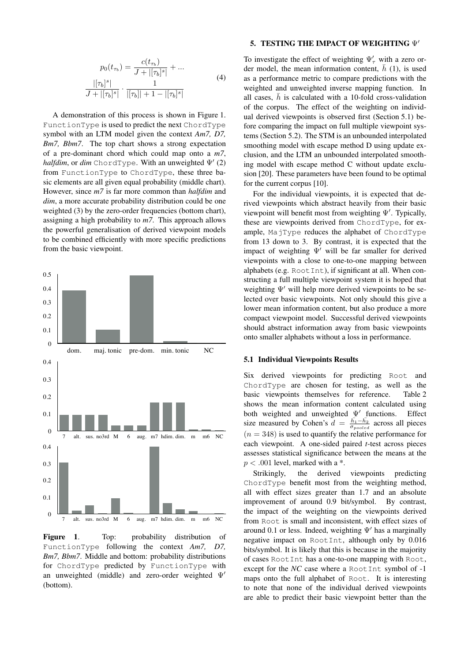$$
p_0(t_{\tau_b}) = \frac{c(t_{\tau_b})}{J + |[\tau_b]^s|} + \dots
$$
  

$$
\frac{|[\tau_b]^s|}{J + |[\tau_b]^s|} \cdot \frac{1}{|[\tau_b]| + 1 - |[\tau_b]^s|}
$$
 (4)

A demonstration of this process is shown in Figure 1. FunctionType is used to predict the next ChordType symbol with an LTM model given the context *Am7, D7, Bm7, Bbm7*. The top chart shows a strong expectation of a pre-dominant chord which could map onto a *m7*, *halfdim*, or *dim* ChordType. With an unweighted Ψ*′* (2) from FunctionType to ChordType, these three basic elements are all given equal probability (middle chart). However, since *m7* is far more common than *halfdim* and *dim*, a more accurate probability distribution could be one weighted (3) by the zero-order frequencies (bottom chart), assigning a high probability to *m7*. This approach allows the powerful generalisation of derived viewpoint models to be combined efficiently with more specific predictions from the basic viewpoint.

 $\Omega$ 0.1 0.2 dom. maj. tonic pre-dom. min. tonic NC 0 0.1 0.2 0.3 0.4 7 alt. sus. no3rd M 6 aug. m7 hdim. dim. m m6 NC  $\Omega$ 0.1 0.2 0.3 0.4 7 alt. sus. no3rd M 6 aug. m7 hdim. dim. m m6 NC

0.3 0.4 0.5

Figure 1. Top: probability distribution of FunctionType following the context *Am7, D7, Bm7, Bbm7*. Middle and bottom: probability distributions for ChordType predicted by FunctionType with an unweighted (middle) and zero-order weighted Ψ*′* (bottom).

#### 5. TESTING THE IMPACT OF WEIGHTING Ψ*′*

To investigate the effect of weighting  $\Psi'_{\tau}$  with a zero order model, the mean information content,  $\bar{h}$  (1), is used as a performance metric to compare predictions with the weighted and unweighted inverse mapping function. In all cases,  $\bar{h}$  is calculated with a 10-fold cross-validation of the corpus. The effect of the weighting on individual derived viewpoints is observed first (Section 5.1) before comparing the impact on full multiple viewpoint systems (Section 5.2). The STM is an unbounded interpolated smoothing model with escape method D using update exclusion, and the LTM an unbounded interpolated smoothing model with escape method C without update exclusion [20]. These parameters have been found to be optimal for the current corpus [10].

For the individual viewpoints, it is expected that derived viewpoints which abstract heavily from their basic viewpoint will benefit most from weighting Ψ*′* . Typically, these are viewpoints derived from ChordType, for example, MajType reduces the alphabet of ChordType from 13 down to 3. By contrast, it is expected that the impact of weighting Ψ*′* will be far smaller for derived viewpoints with a close to one-to-one mapping between alphabets (e.g. RootInt), if significant at all. When constructing a full multiple viewpoint system it is hoped that weighting Ψ*′* will help more derived viewpoints to be selected over basic viewpoints. Not only should this give a lower mean information content, but also produce a more compact viewpoint model. Successful derived viewpoints should abstract information away from basic viewpoints onto smaller alphabets without a loss in performance.

#### 5.1 Individual Viewpoints Results

Six derived viewpoints for predicting Root and ChordType are chosen for testing, as well as the basic viewpoints themselves for reference. Table 2 shows the mean information content calculated using both weighted and unweighted Ψ*′* functions. Effect size measured by Cohen's  $\overline{d} = \frac{\overline{h_1} - \overline{h_2}}{\sigma_{pooled}}$  across all pieces  $(n = 348)$  is used to quantify the relative performance for each viewpoint. A one-sided paired *t*-test across pieces assesses statistical significance between the means at the  $p < .001$  level, marked with a  $*$ .

Strikingly, the derived viewpoints predicting ChordType benefit most from the weighting method, all with effect sizes greater than 1.7 and an absolute improvement of around 0.9 bit/symbol. By contrast, the impact of the weighting on the viewpoints derived from Root is small and inconsistent, with effect sizes of around 0.1 or less. Indeed, weighting Ψ*′* has a marginally negative impact on RootInt, although only by 0.016 bits/symbol. It is likely that this is because in the majority of cases RootInt has a one-to-one mapping with Root, except for the *NC* case where a RootInt symbol of -1 maps onto the full alphabet of Root. It is interesting to note that none of the individual derived viewpoints are able to predict their basic viewpoint better than the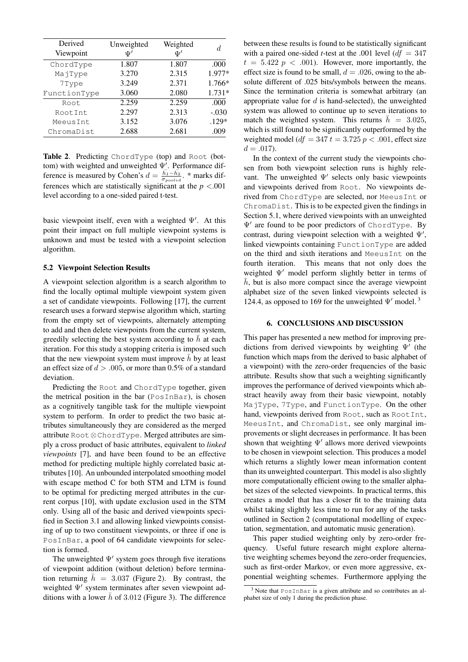| Derived<br>Viewpoint | Unweighted<br>T' | Weighted<br>$\Psi'$ | d.       |
|----------------------|------------------|---------------------|----------|
| ChordType            | 1.807            | 1.807               | .000     |
| MajType              | 3.270            | 2.315               | 1.977*   |
| 7Type                | 3.249            | 2.371               | 1.766*   |
| FunctionType         | 3.060            | 2.080               | $1.731*$ |
| Root.                | 2.259            | 2.259               | .000     |
| RootInt              | 2.297            | 2.313               | $-.030$  |
| MeeusInt             | 3.152            | 3.076               | $.129*$  |
| ChromaDist           | 2.688            | 2.681               | .009     |

Table 2. Predicting ChordType (top) and Root (bottom) with weighted and unweighted Ψ*′* . Performance difference is measured by Cohen's  $d = \frac{\bar{h}_1 - \bar{h}_2}{\sigma_{pooled}}$ . \* marks differences which are statistically significant at the *p <*.001 level according to a one-sided paired t-test.

basic viewpoint itself, even with a weighted Ψ*′* . At this point their impact on full multiple viewpoint systems is unknown and must be tested with a viewpoint selection algorithm.

#### 5.2 Viewpoint Selection Results

A viewpoint selection algorithm is a search algorithm to find the locally optimal multiple viewpoint system given a set of candidate viewpoints. Following [17], the current research uses a forward stepwise algorithm which, starting from the empty set of viewpoints, alternately attempting to add and then delete viewpoints from the current system, greedily selecting the best system according to  $\bar{h}$  at each iteration. For this study a stopping criteria is imposed such that the new viewpoint system must improve  $\bar{h}$  by at least an effect size of *d > .*005, or more than 0.5% of a standard deviation.

Predicting the Root and ChordType together, given the metrical position in the bar (PosInBar), is chosen as a cognitively tangible task for the multiple viewpoint system to perform. In order to predict the two basic attributes simultaneously they are considered as the merged attribute Root*⊗*ChordType. Merged attributes are simply a cross product of basic attributes, equivalent to *linked viewpoints* [7], and have been found to be an effective method for predicting multiple highly correlated basic attributes [10]. An unbounded interpolated smoothing model with escape method C for both STM and LTM is found to be optimal for predicting merged attributes in the current corpus [10], with update exclusion used in the STM only. Using all of the basic and derived viewpoints specified in Section 3.1 and allowing linked viewpoints consisting of up to two constituent viewpoints, or three if one is PosInBar, a pool of 64 candidate viewpoints for selection is formed.

The unweighted Ψ*′* system goes through five iterations of viewpoint addition (without deletion) before termination returning  $\bar{h} = 3.037$  (Figure 2). By contrast, the weighted Ψ*′* system terminates after seven viewpoint additions with a lower  $\bar{h}$  of 3.012 (Figure 3). The difference between these results is found to be statistically significant with a paired one-sided *t*-test at the .001 level  $(df = 347$  $t = 5.422$   $p < .001$ ). However, more importantly, the effect size is found to be small,  $d = .026$ , owing to the absolute different of .025 bits/symbols between the means. Since the termination criteria is somewhat arbitrary (an appropriate value for *d* is hand-selected), the unweighted system was allowed to continue up to seven iterations to match the weighted system. This returns  $\bar{h} = 3.025$ , which is still found to be significantly outperformed by the weighted model ( $df = 347 t = 3.725 p < .001$ , effect size  $d = .017$ .

In the context of the current study the viewpoints chosen from both viewpoint selection runs is highly relevant. The unweighted Ψ*′* selects only basic viewpoints and viewpoints derived from Root. No viewpoints derived from ChordType are selected, nor MeeusInt or ChromaDist. This is to be expected given the findings in Section 5.1, where derived viewpoints with an unweighted Ψ*′* are found to be poor predictors of ChordType. By contrast, during viewpoint selection with a weighted Ψ*′* , linked viewpoints containing FunctionType are added on the third and sixth iterations and MeeusInt on the fourth iteration. This means that not only does the weighted Ψ*′* model perform slightly better in terms of  $\bar{h}$ , but is also more compact since the average viewpoint alphabet size of the seven linked viewpoints selected is 124.4, as opposed to 169 for the unweighted Ψ*′* model. <sup>3</sup>

## 6. CONCLUSIONS AND DISCUSSION

This paper has presented a new method for improving predictions from derived viewpoints by weighting Ψ*′* (the function which maps from the derived to basic alphabet of a viewpoint) with the zero-order frequencies of the basic attribute. Results show that such a weighting significantly improves the performance of derived viewpoints which abstract heavily away from their basic viewpoint, notably MajType, 7Type, and FunctionType. On the other hand, viewpoints derived from Root, such as RootInt, MeeusInt, and ChromaDist, see only marginal improvements or slight decreases in performance. It has been shown that weighting Ψ*′* allows more derived viewpoints to be chosen in viewpoint selection. This produces a model which returns a slightly lower mean information content than its unweighted counterpart. This model is also slightly more computationally efficient owing to the smaller alphabet sizes of the selected viewpoints. In practical terms, this creates a model that has a closer fit to the training data whilst taking slightly less time to run for any of the tasks outlined in Section 2 (computational modelling of expectation, segmentation, and automatic music generation).

This paper studied weighting only by zero-order frequency. Useful future research might explore alternative weighting schemes beyond the zero-order frequencies, such as first-order Markov, or even more aggressive, exponential weighting schemes. Furthermore applying the

 $3$  Note that PosInBar is a given attribute and so contributes an alphabet size of only 1 during the prediction phase.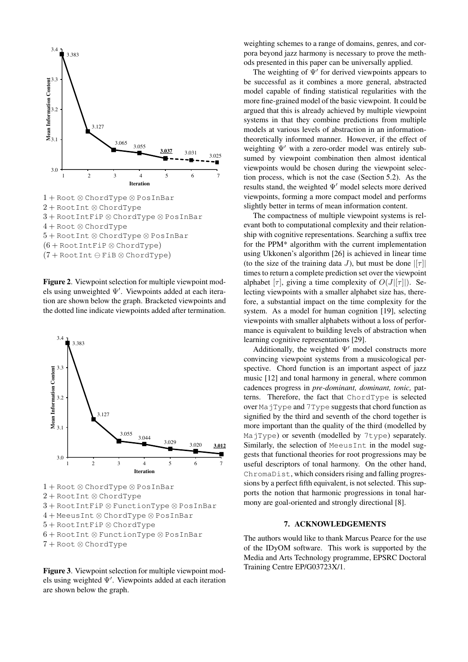

1 + Root *⊗* ChordType *⊗* PosInBar 2 + RootInt *⊗* ChordType 3 + RootIntFiP *⊗* ChordType *⊗* PosInBar 4 + Root *⊗* ChordType 5 + RootInt *⊗* ChordType *⊗* PosInBar (6 + RootIntFiP *⊗* ChordType) (7 + RootInt *⊖* FiB *⊗* ChordType)

Figure 2. Viewpoint selection for multiple viewpoint models using unweighted Ψ*′* . Viewpoints added at each iteration are shown below the graph. Bracketed viewpoints and the dotted line indicate viewpoints added after termination.



4 + MeeusInt *⊗* ChordType *⊗* PosInBar

5 + RootIntFiP *⊗* ChordType

6 + RootInt *⊗* FunctionType *⊗* PosInBar

7 + Root *⊗* ChordType

Figure 3. Viewpoint selection for multiple viewpoint models using weighted Ψ*′* . Viewpoints added at each iteration are shown below the graph.

weighting schemes to a range of domains, genres, and corpora beyond jazz harmony is necessary to prove the methods presented in this paper can be universally applied.

The weighting of Ψ*′* for derived viewpoints appears to be successful as it combines a more general, abstracted model capable of finding statistical regularities with the more fine-grained model of the basic viewpoint. It could be argued that this is already achieved by multiple viewpoint systems in that they combine predictions from multiple models at various levels of abstraction in an informationtheoretically informed manner. However, if the effect of weighting Ψ*′* with a zero-order model was entirely subsumed by viewpoint combination then almost identical viewpoints would be chosen during the viewpoint selection process, which is not the case (Section 5.2). As the results stand, the weighted Ψ*′* model selects more derived viewpoints, forming a more compact model and performs slightly better in terms of mean information content.

The compactness of multiple viewpoint systems is relevant both to computational complexity and their relationship with cognitive representations. Searching a suffix tree for the PPM\* algorithm with the current implementation using Ukkonen's algorithm [26] is achieved in linear time (to the size of the training data *J*), but must be done  $|[\tau]|$ times to return a complete prediction set over the viewpoint alphabet  $[\tau]$ , giving a time complexity of  $O(J|[\tau]]$ ). Selecting viewpoints with a smaller alphabet size has, therefore, a substantial impact on the time complexity for the system. As a model for human cognition [19], selecting viewpoints with smaller alphabets without a loss of performance is equivalent to building levels of abstraction when learning cognitive representations [29].

Additionally, the weighted Ψ*′* model constructs more convincing viewpoint systems from a musicological perspective. Chord function is an important aspect of jazz music [12] and tonal harmony in general, where common cadences progress in *pre-dominant, dominant, tonic,* patterns. Therefore, the fact that ChordType is selected over MajType and 7Type suggests that chord function as signified by the third and seventh of the chord together is more important than the quality of the third (modelled by MajType) or seventh (modelled by 7type) separately. Similarly, the selection of MeeusInt in the model suggests that functional theories for root progressions may be useful descriptors of tonal harmony. On the other hand, ChromaDist, which considers rising and falling progressions by a perfect fifth equivalent, is not selected. This supports the notion that harmonic progressions in tonal harmony are goal-oriented and strongly directional [8].

#### 7. ACKNOWLEDGEMENTS

The authors would like to thank Marcus Pearce for the use of the IDyOM software. This work is supported by the Media and Arts Technology programme, EPSRC Doctoral Training Centre EP/G03723X/1.